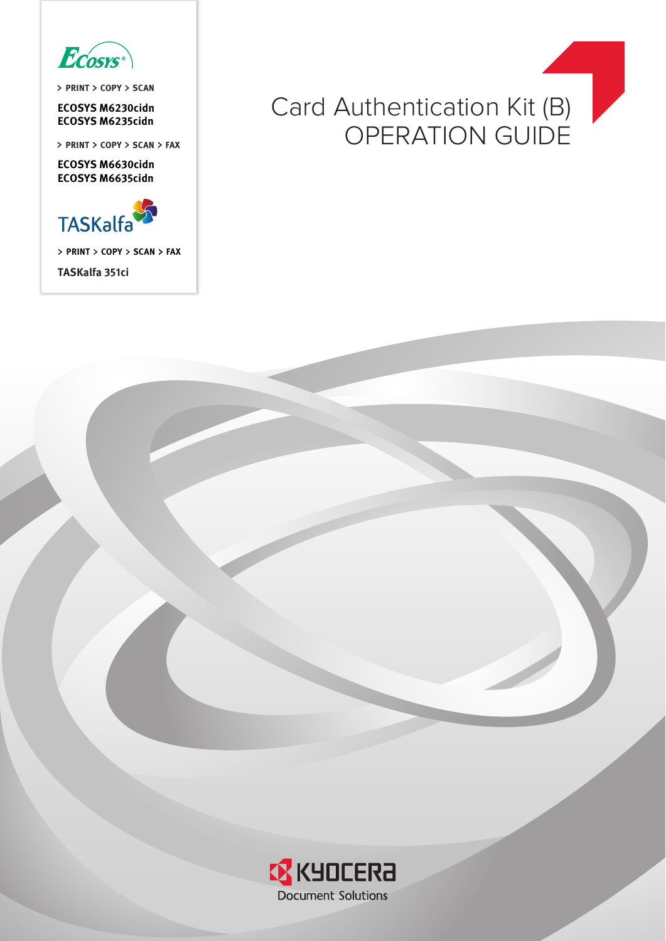

**PRINT COPY SCAN**

**ECOSYS M6230cidn**

**ECOSYS M6630cidn ECOSYS M6635cidn**



**PRINT COPY SCAN FAX**

**TASKalfa 351ci**

# ECOSYS M6230cidn<br>ECOSYS M6235cidn<br>
ECOSYS M6235cidn **PRINT > COPY > SCAN > FAX**

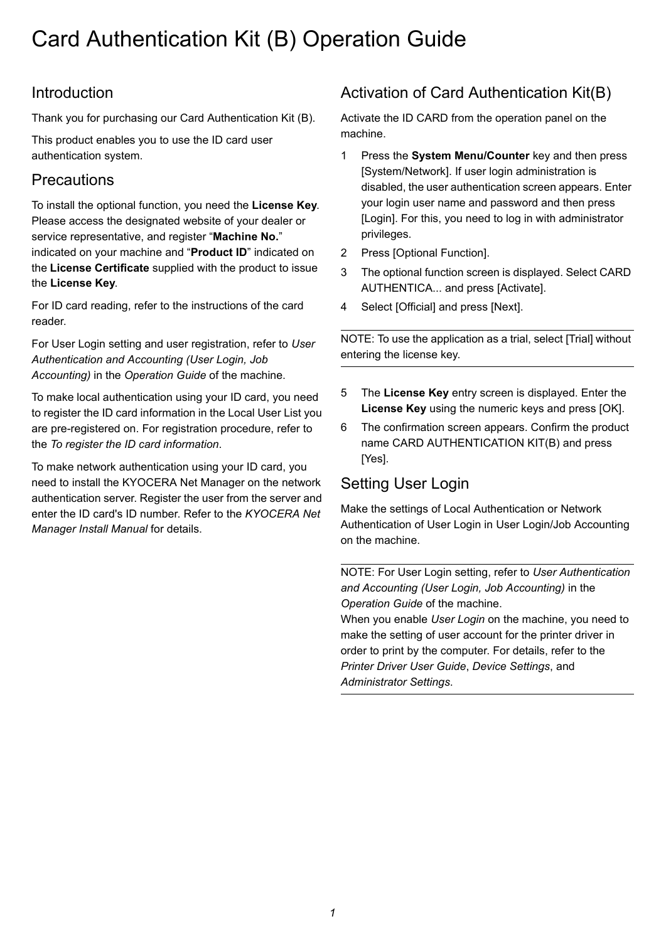## Card Authentication Kit (B) Operation Guide

## Introduction

Thank you for purchasing our Card Authentication Kit (B).

This product enables you to use the ID card user authentication system.

## **Precautions**

To install the optional function, you need the **License Key**. Please access the designated website of your dealer or service representative, and register "**Machine No.**" indicated on your machine and "**Product ID**" indicated on the **License Certificate** supplied with the product to issue the **License Key**.

For ID card reading, refer to the instructions of the card reader.

For User Login setting and user registration, refer to *User Authentication and Accounting (User Login, Job Accounting)* in the *Operation Guide* of the machine.

To make local authentication using your ID card, you need to register the ID card information in the Local User List you are pre-registered on. For registration procedure, refer to the *[To register the ID card information](#page-2-0)*.

To make network authentication using your ID card, you need to install the KYOCERA Net Manager on the network authentication server. Register the user from the server and enter the ID card's ID number. Refer to the *KYOCERA Net Manager Install Manual* for details.

## Activation of Card Authentication Kit(B)

Activate the ID CARD from the operation panel on the machine.

- 1 Press the **System Menu/Counter** key and then press [System/Network]. If user login administration is disabled, the user authentication screen appears. Enter your login user name and password and then press [Login]. For this, you need to log in with administrator privileges.
- 2 Press [Optional Function].
- 3 The optional function screen is displayed. Select CARD AUTHENTICA... and press [Activate].
- 4 Select [Official] and press [Next].

NOTE: To use the application as a trial, select [Trial] without entering the license key.

- 5 The **License Key** entry screen is displayed. Enter the **License Key** using the numeric keys and press [OK].
- 6 The confirmation screen appears. Confirm the product name CARD AUTHENTICATION KIT(B) and press [Yes].

## Setting User Login

Make the settings of Local Authentication or Network Authentication of User Login in User Login/Job Accounting on the machine.

NOTE: For User Login setting, refer to *User Authentication and Accounting (User Login, Job Accounting)* in the *Operation Guide* of the machine.

When you enable *User Login* on the machine, you need to make the setting of user account for the printer driver in order to print by the computer. For details, refer to the *Printer Driver User Guide*, *Device Settings*, and *Administrator Settings*.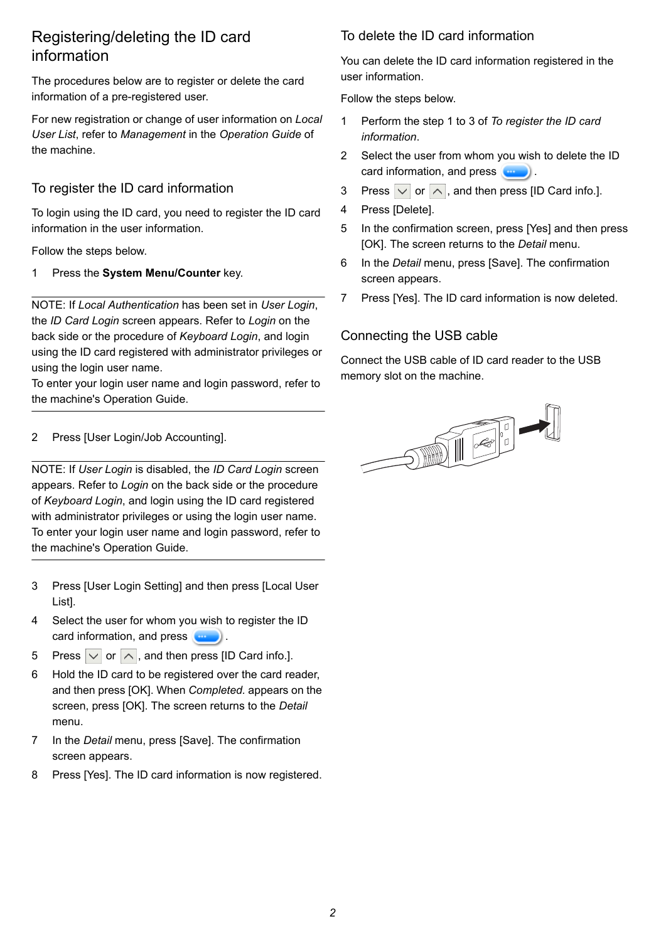## Registering/deleting the ID card information

The procedures below are to register or delete the card information of a pre-registered user.

For new registration or change of user information on *Local User List*, refer to *Management* in the *Operation Guide* of the machine.

#### <span id="page-2-0"></span>To register the ID card information

To login using the ID card, you need to register the ID card information in the user information.

Follow the steps below.

1 Press the **System Menu/Counter** key.

NOTE: If *Local Authentication* has been set in *User Login*, the *ID Card Login* screen appears. Refer to *[Login](#page-3-0)* on the back side or the procedure of *[Keyboard Login](#page-3-1)*, and login using the ID card registered with administrator privileges or using the login user name.

To enter your login user name and login password, refer to the machine's Operation Guide.

2 Press [User Login/Job Accounting].

NOTE: If *User Login* is disabled, the *ID Card Login* screen appears. Refer to *[Login](#page-3-0)* on the back side or the procedure of *[Keyboard Login](#page-3-1)*, and login using the ID card registered with administrator privileges or using the login user name. To enter your login user name and login password, refer to the machine's Operation Guide.

- 3 Press [User Login Setting] and then press [Local User List].
- 4 Select the user for whom you wish to register the ID card information, and press  $\left(\begin{array}{ccc} 0 & \cdots \end{array}\right)$ .
- 5 Press  $\vee$  or  $\wedge$ , and then press [ID Card info.].
- 6 Hold the ID card to be registered over the card reader, and then press [OK]. When *Completed.* appears on the screen, press [OK]. The screen returns to the *Detail*  menu.
- 7 In the *Detail* menu, press [Save]. The confirmation screen appears.
- 8 Press [Yes]. The ID card information is now registered.

#### To delete the ID card information

You can delete the ID card information registered in the user information.

Follow the steps below.

- 1 Perform the step 1 to 3 of *[To register the ID card](#page-2-0)  [information](#page-2-0)*.
- 2 Select the user from whom you wish to delete the ID card information, and press  $\left(\begin{array}{ccc} 0 & \cdots \end{array}\right)$ .
- 3 Press  $\vert \vee \vert$  or  $\vert \wedge \vert$ , and then press [ID Card info.].
- 4 Press [Delete].
- 5 In the confirmation screen, press [Yes] and then press [OK]. The screen returns to the *Detail* menu.
- 6 In the *Detail* menu, press [Save]. The confirmation screen appears.
- 7 Press [Yes]. The ID card information is now deleted.

#### Connecting the USB cable

Connect the USB cable of ID card reader to the USB memory slot on the machine.

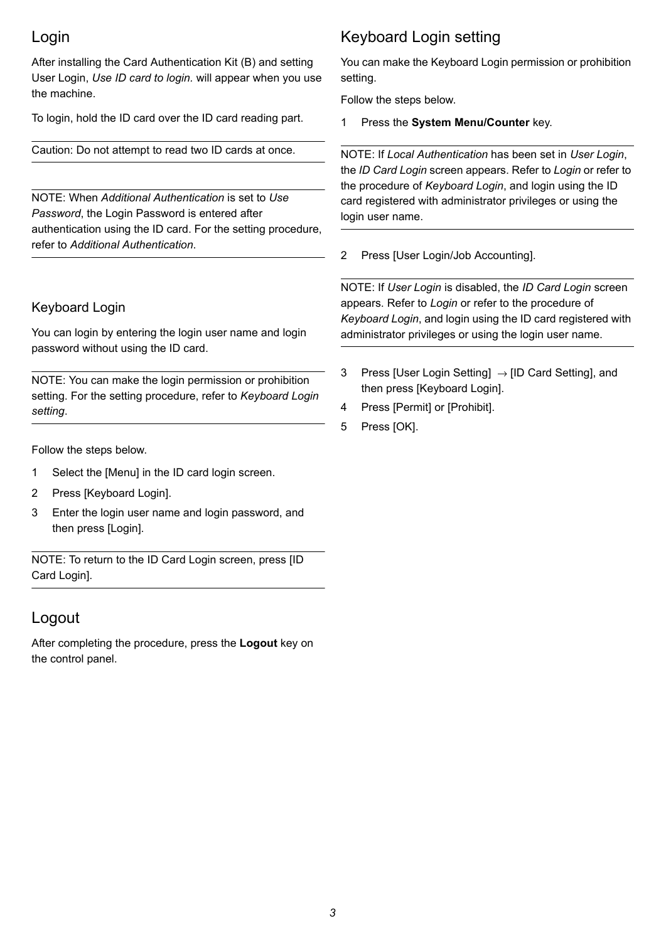## <span id="page-3-0"></span>Login

After installing the Card Authentication Kit (B) and setting User Login, *Use ID card to login.* will appear when you use the machine.

To login, hold the ID card over the ID card reading part.

Caution: Do not attempt to read two ID cards at once.

NOTE: When *Additional Authentication* is set to *Use Password*, the Login Password is entered after authentication using the ID card. For the setting procedure, refer to *[Additional Authentication](#page-4-0)*.

#### <span id="page-3-1"></span>Keyboard Login

You can login by entering the login user name and login password without using the ID card.

NOTE: You can make the login permission or prohibition setting. For the setting procedure, refer to *[Keyboard Login](#page-3-2)  [setting](#page-3-2)*.

Follow the steps below.

- 1 Select the [Menu] in the ID card login screen.
- 2 Press [Keyboard Login].
- 3 Enter the login user name and login password, and then press [Login].

NOTE: To return to the ID Card Login screen, press [ID Card Login].

### Logout

After completing the procedure, press the **Logout** key on the control panel.

## <span id="page-3-2"></span>Keyboard Login setting

You can make the Keyboard Login permission or prohibition setting.

Follow the steps below.

1 Press the **System Menu/Counter** key.

NOTE: If *Local Authentication* has been set in *User Login*, the *ID Card Login* screen appears. Refer to *[Login](#page-3-0)* or refer to the procedure of *[Keyboard Login](#page-3-1)*, and login using the ID card registered with administrator privileges or using the login user name.

2 Press [User Login/Job Accounting].

NOTE: If *User Login* is disabled, the *ID Card Login* screen appears. Refer to *[Login](#page-3-0)* or refer to the procedure of *[Keyboard Login](#page-3-1)*, and login using the ID card registered with administrator privileges or using the login user name.

- 3 Press [User Login Setting]  $\rightarrow$  [ID Card Setting], and then press [Keyboard Login].
- 4 Press [Permit] or [Prohibit].
- 5 Press [OK].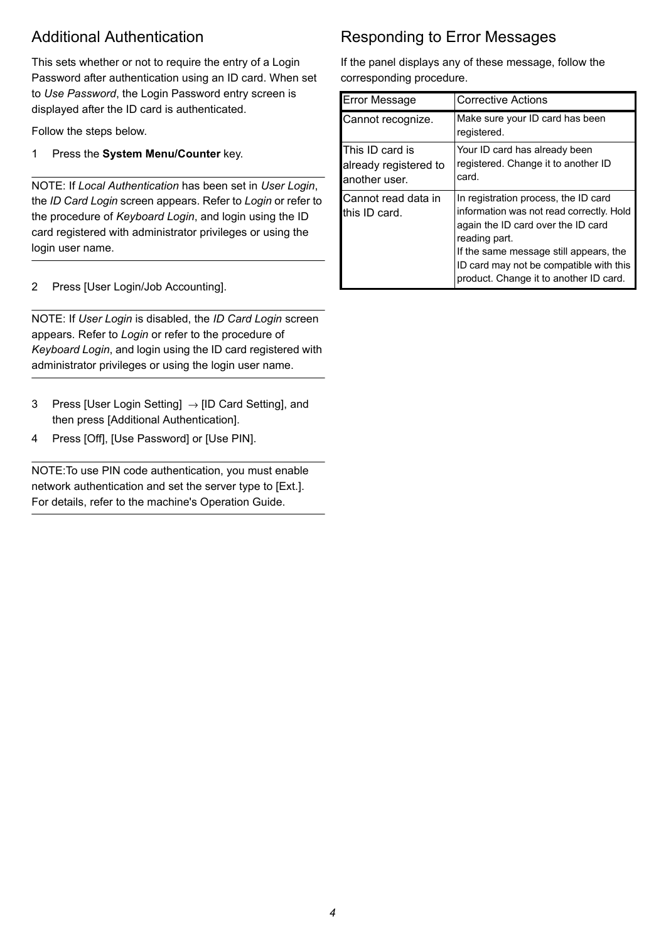## <span id="page-4-0"></span>Additional Authentication

This sets whether or not to require the entry of a Login Password after authentication using an ID card. When set to *Use Password*, the Login Password entry screen is displayed after the ID card is authenticated.

Follow the steps below.

1 Press the **System Menu/Counter** key.

NOTE: If *Local Authentication* has been set in *User Login*, the *ID Card Login* screen appears. Refer to *[Login](#page-3-0)* or refer to the procedure of *[Keyboard Login](#page-3-1)*, and login using the ID card registered with administrator privileges or using the login user name.

2 Press [User Login/Job Accounting].

NOTE: If *User Login* is disabled, the *ID Card Login* screen appears. Refer to *[Login](#page-3-0)* or refer to the procedure of *[Keyboard Login](#page-3-1)*, and login using the ID card registered with administrator privileges or using the login user name.

- 3 Press [User Login Setting]  $\rightarrow$  [ID Card Setting], and then press [Additional Authentication].
- 4 Press [Off], [Use Password] or [Use PIN].

NOTE:To use PIN code authentication, you must enable network authentication and set the server type to [Ext.]. For details, refer to the machine's Operation Guide.

## Responding to Error Messages

If the panel displays any of these message, follow the corresponding procedure.

| <b>Error Message</b>                                             | <b>Corrective Actions</b>                                                                                                                                                                                                                                              |
|------------------------------------------------------------------|------------------------------------------------------------------------------------------------------------------------------------------------------------------------------------------------------------------------------------------------------------------------|
| Cannot recognize.                                                | Make sure your ID card has been<br>registered.                                                                                                                                                                                                                         |
| <b>This ID card is</b><br>already registered to<br>another user. | Your ID card has already been<br>registered. Change it to another ID<br>card.                                                                                                                                                                                          |
| Cannot read data in<br>this ID card.                             | In registration process, the ID card<br>information was not read correctly. Hold<br>again the ID card over the ID card<br>reading part.<br>If the same message still appears, the<br>ID card may not be compatible with this<br>product. Change it to another ID card. |